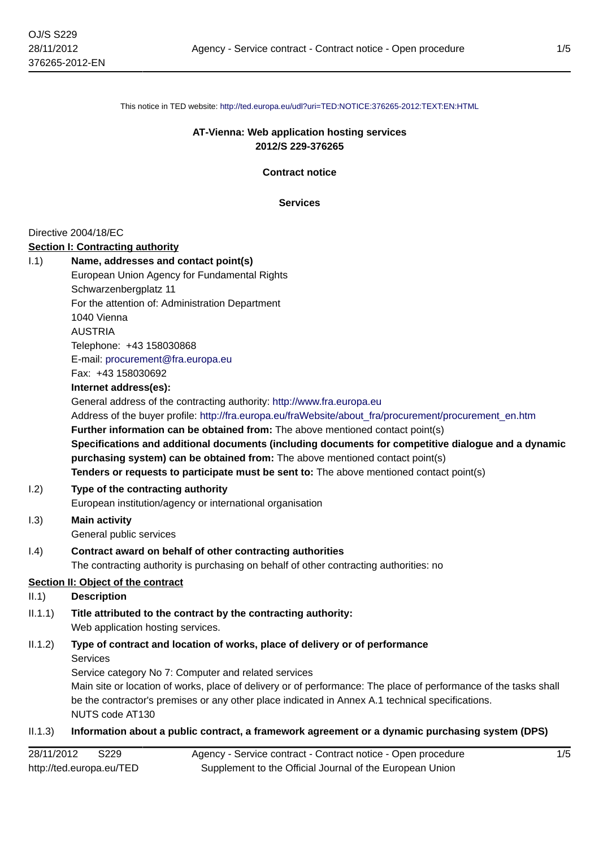This notice in TED website: <http://ted.europa.eu/udl?uri=TED:NOTICE:376265-2012:TEXT:EN:HTML>

### **AT-Vienna: Web application hosting services 2012/S 229-376265**

**Contract notice**

**Services**

#### Directive 2004/18/EC

#### **Section I: Contracting authority**

I.1) **Name, addresses and contact point(s)** European Union Agency for Fundamental Rights Schwarzenbergplatz 11 For the attention of: Administration Department 1040 Vienna AUSTRIA Telephone: +43 158030868 E-mail: [procurement@fra.europa.eu](mailto:procurement@fra.europa.eu) Fax: +43 158030692 **Internet address(es):** General address of the contracting authority: <http://www.fra.europa.eu> Address of the buyer profile: [http://fra.europa.eu/fraWebsite/about\\_fra/procurement/procurement\\_en.htm](http://fra.europa.eu/fraWebsite/about_fra/procurement/procurement_en.htm) **Further information can be obtained from:** The above mentioned contact point(s) **Specifications and additional documents (including documents for competitive dialogue and a dynamic purchasing system) can be obtained from:** The above mentioned contact point(s) **Tenders or requests to participate must be sent to:** The above mentioned contact point(s) I.2) **Type of the contracting authority**

European institution/agency or international organisation

#### I.3) **Main activity** General public services

# I.4) **Contract award on behalf of other contracting authorities**

The contracting authority is purchasing on behalf of other contracting authorities: no

#### **Section II: Object of the contract**

#### II.1) **Description**

II.1.1) **Title attributed to the contract by the contracting authority:** Web application hosting services.

# II.1.2) **Type of contract and location of works, place of delivery or of performance** Services

Service category No 7: Computer and related services

Main site or location of works, place of delivery or of performance: The place of performance of the tasks shall be the contractor's premises or any other place indicated in Annex A.1 technical specifications. NUTS code AT130

#### II.1.3) **Information about a public contract, a framework agreement or a dynamic purchasing system (DPS)**

| 28/11/2012               | S <sub>229</sub> | Agency - Service contract - Contract notice - Open procedure |
|--------------------------|------------------|--------------------------------------------------------------|
| http://ted.europa.eu/TED |                  | Supplement to the Official Journal of the European Union     |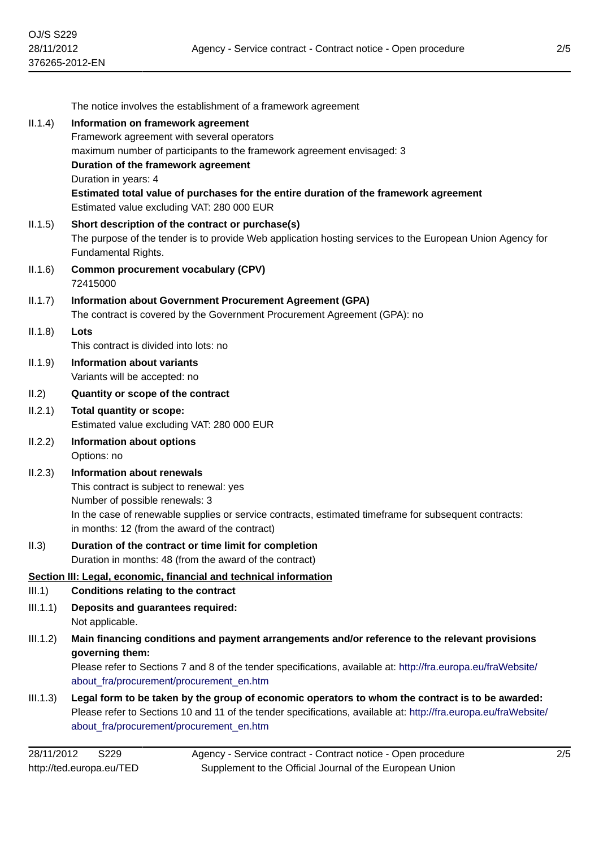|          | The notice involves the establishment of a framework agreement                                                                                            |
|----------|-----------------------------------------------------------------------------------------------------------------------------------------------------------|
| II.1.4)  | Information on framework agreement                                                                                                                        |
|          | Framework agreement with several operators                                                                                                                |
|          | maximum number of participants to the framework agreement envisaged: 3                                                                                    |
|          | Duration of the framework agreement                                                                                                                       |
|          | Duration in years: 4                                                                                                                                      |
|          | Estimated total value of purchases for the entire duration of the framework agreement<br>Estimated value excluding VAT: 280 000 EUR                       |
| II.1.5)  | Short description of the contract or purchase(s)                                                                                                          |
|          | The purpose of the tender is to provide Web application hosting services to the European Union Agency for<br>Fundamental Rights.                          |
| II.1.6)  | <b>Common procurement vocabulary (CPV)</b><br>72415000                                                                                                    |
| II.1.7)  | <b>Information about Government Procurement Agreement (GPA)</b>                                                                                           |
|          | The contract is covered by the Government Procurement Agreement (GPA): no                                                                                 |
| II.1.8)  | Lots                                                                                                                                                      |
|          | This contract is divided into lots: no                                                                                                                    |
| II.1.9)  | Information about variants                                                                                                                                |
|          | Variants will be accepted: no                                                                                                                             |
| II.2)    | Quantity or scope of the contract                                                                                                                         |
| II.2.1)  | <b>Total quantity or scope:</b>                                                                                                                           |
|          | Estimated value excluding VAT: 280 000 EUR                                                                                                                |
| II.2.2)  | <b>Information about options</b><br>Options: no                                                                                                           |
|          |                                                                                                                                                           |
| II.2.3)  | <b>Information about renewals</b><br>This contract is subject to renewal: yes                                                                             |
|          | Number of possible renewals: 3                                                                                                                            |
|          | In the case of renewable supplies or service contracts, estimated timeframe for subsequent contracts:                                                     |
|          | in months: 12 (from the award of the contract)                                                                                                            |
| II.3)    | Duration of the contract or time limit for completion                                                                                                     |
|          | Duration in months: 48 (from the award of the contract)                                                                                                   |
|          | Section III: Legal, economic, financial and technical information                                                                                         |
| III.1)   | <b>Conditions relating to the contract</b>                                                                                                                |
| III.1.1) | Deposits and guarantees required:                                                                                                                         |
|          | Not applicable.                                                                                                                                           |
| III.1.2) | Main financing conditions and payment arrangements and/or reference to the relevant provisions                                                            |
|          | governing them:                                                                                                                                           |
|          | Please refer to Sections 7 and 8 of the tender specifications, available at: http://fra.europa.eu/fraWebsite/<br>about fra/procurement/procurement en.htm |
| III.1.3) | Legal form to be taken by the group of economic operators to whom the contract is to be awarded:                                                          |
|          | Please refer to Sections 10 and 11 of the tender specifications, available at: http://fra.europa.eu/fraWebsite/                                           |
|          | about_fra/procurement/procurement_en.htm                                                                                                                  |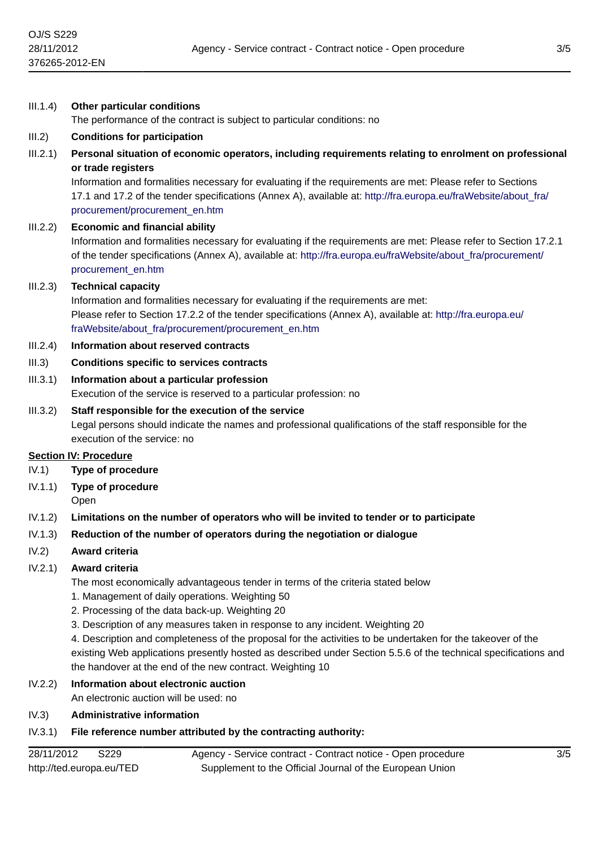III.1.4) **Other particular conditions**

# The performance of the contract is subject to particular conditions: no III.2) **Conditions for participation** III.2.1) **Personal situation of economic operators, including requirements relating to enrolment on professional or trade registers** Information and formalities necessary for evaluating if the requirements are met: Please refer to Sections 17.1 and 17.2 of the tender specifications (Annex A), available at: [http://fra.europa.eu/fraWebsite/about\\_fra/](http://fra.europa.eu/fraWebsite/about_fra/procurement/procurement_en.htm) [procurement/procurement\\_en.htm](http://fra.europa.eu/fraWebsite/about_fra/procurement/procurement_en.htm) III.2.2) **Economic and financial ability** Information and formalities necessary for evaluating if the requirements are met: Please refer to Section 17.2.1 of the tender specifications (Annex A), available at: [http://fra.europa.eu/fraWebsite/about\\_fra/procurement/](http://fra.europa.eu/fraWebsite/about_fra/procurement/procurement_en.htm) [procurement\\_en.htm](http://fra.europa.eu/fraWebsite/about_fra/procurement/procurement_en.htm) III.2.3) **Technical capacity** Information and formalities necessary for evaluating if the requirements are met: Please refer to Section 17.2.2 of the tender specifications (Annex A), available at: [http://fra.europa.eu/](http://fra.europa.eu/fraWebsite/about_fra/procurement/procurement_en.htm) [fraWebsite/about\\_fra/procurement/procurement\\_en.htm](http://fra.europa.eu/fraWebsite/about_fra/procurement/procurement_en.htm) III.2.4) **Information about reserved contracts** III.3) **Conditions specific to services contracts** III.3.1) **Information about a particular profession** Execution of the service is reserved to a particular profession: no III.3.2) **Staff responsible for the execution of the service** Legal persons should indicate the names and professional qualifications of the staff responsible for the execution of the service: no **Section IV: Procedure** IV.1) **Type of procedure** IV.1.1) **Type of procedure** Open IV.1.2) **Limitations on the number of operators who will be invited to tender or to participate** IV.1.3) **Reduction of the number of operators during the negotiation or dialogue** IV.2) **Award criteria** IV.2.1) **Award criteria** The most economically advantageous tender in terms of the criteria stated below 1. Management of daily operations. Weighting 50 2. Processing of the data back-up. Weighting 20 3. Description of any measures taken in response to any incident. Weighting 20 4. Description and completeness of the proposal for the activities to be undertaken for the takeover of the

existing Web applications presently hosted as described under Section 5.5.6 of the technical specifications and the handover at the end of the new contract. Weighting 10

# IV.2.2) **Information about electronic auction**

An electronic auction will be used: no

# IV.3) **Administrative information**

# IV.3.1) **File reference number attributed by the contracting authority:**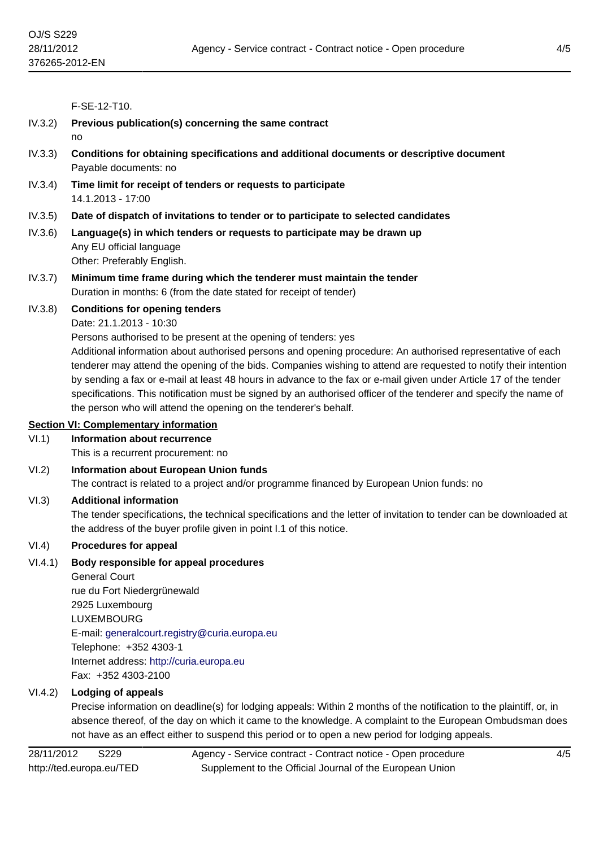F-SE-12-T10.

| IV.3.2) | Previous publication(s) concerning the same contract<br>no                                                                                                                                                                                                                                                                                                                                                                                                                                                                                                                                                                                                                           |
|---------|--------------------------------------------------------------------------------------------------------------------------------------------------------------------------------------------------------------------------------------------------------------------------------------------------------------------------------------------------------------------------------------------------------------------------------------------------------------------------------------------------------------------------------------------------------------------------------------------------------------------------------------------------------------------------------------|
| IV.3.3) | Conditions for obtaining specifications and additional documents or descriptive document<br>Payable documents: no                                                                                                                                                                                                                                                                                                                                                                                                                                                                                                                                                                    |
| IV.3.4) | Time limit for receipt of tenders or requests to participate<br>14.1.2013 - 17:00                                                                                                                                                                                                                                                                                                                                                                                                                                                                                                                                                                                                    |
| IV.3.5) | Date of dispatch of invitations to tender or to participate to selected candidates                                                                                                                                                                                                                                                                                                                                                                                                                                                                                                                                                                                                   |
| IV.3.6) | Language(s) in which tenders or requests to participate may be drawn up<br>Any EU official language<br>Other: Preferably English.                                                                                                                                                                                                                                                                                                                                                                                                                                                                                                                                                    |
| IV.3.7) | Minimum time frame during which the tenderer must maintain the tender<br>Duration in months: 6 (from the date stated for receipt of tender)                                                                                                                                                                                                                                                                                                                                                                                                                                                                                                                                          |
| IV.3.8) | <b>Conditions for opening tenders</b><br>Date: 21.1.2013 - 10:30<br>Persons authorised to be present at the opening of tenders: yes<br>Additional information about authorised persons and opening procedure: An authorised representative of each<br>tenderer may attend the opening of the bids. Companies wishing to attend are requested to notify their intention<br>by sending a fax or e-mail at least 48 hours in advance to the fax or e-mail given under Article 17 of the tender<br>specifications. This notification must be signed by an authorised officer of the tenderer and specify the name of<br>the person who will attend the opening on the tenderer's behalf. |
|         | <b>Section VI: Complementary information</b>                                                                                                                                                                                                                                                                                                                                                                                                                                                                                                                                                                                                                                         |
| VI.1)   | <b>Information about recurrence</b><br>This is a recurrent procurement: no                                                                                                                                                                                                                                                                                                                                                                                                                                                                                                                                                                                                           |
| VI.2)   | <b>Information about European Union funds</b><br>The contract is related to a project and/or programme financed by European Union funds: no                                                                                                                                                                                                                                                                                                                                                                                                                                                                                                                                          |
| VI.3)   | <b>Additional information</b><br>The tender specifications, the technical specifications and the letter of invitation to tender can be downloaded at<br>the address of the buyer profile given in point I.1 of this notice.                                                                                                                                                                                                                                                                                                                                                                                                                                                          |
| VI.4)   | <b>Procedures for appeal</b>                                                                                                                                                                                                                                                                                                                                                                                                                                                                                                                                                                                                                                                         |
| VI.4.1) | Body responsible for appeal procedures<br><b>General Court</b><br>rue du Fort Niedergrünewald<br>2925 Luxembourg<br><b>LUXEMBOURG</b><br>E-mail: generalcourt.registry@curia.europa.eu<br>Telephone: +352 4303-1<br>Internet address: http://curia.europa.eu<br>Fax: +352 4303-2100                                                                                                                                                                                                                                                                                                                                                                                                  |

### VI.4.2) **Lodging of appeals**

Precise information on deadline(s) for lodging appeals: Within 2 months of the notification to the plaintiff, or, in absence thereof, of the day on which it came to the knowledge. A complaint to the European Ombudsman does not have as an effect either to suspend this period or to open a new period for lodging appeals.

28/11/2012 S229 http://ted.europa.eu/TED